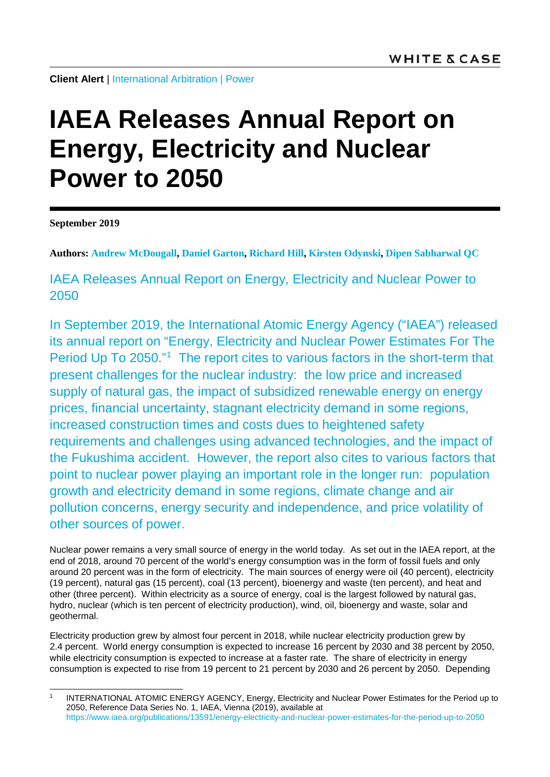**Client Alert** | [International Arbitration](https://www.whitecase.com/law/practices/international-arbitration?s=international%20arbitration) | [Power](https://www.whitecase.com/law/industries/power?s=power)

## **IAEA Releases Annual Report on Energy, Electricity and Nuclear Power to 2050**

**September 2019**

**Authors: [Andrew McDougall,](https://www.whitecase.com/people/andrew-de-lotbiniere-mcdougall?s=Andrew%20McDougall) [Daniel Garton,](https://www.whitecase.com/people/daniel-garton?s=Daniel%20Garton) [Richard Hill,](https://www.whitecase.com/people/richard-hill?s=Richard%20Hill) [Kirsten Odynski,](https://www.whitecase.com/people/kirsten-odynski?s=Kirsten%20Odynski) [Dipen Sabharwal QC](https://www.whitecase.com/people/dipen-sabharwal?s=Dipen%20Sabharwal)**

IAEA Releases Annual Report on Energy, Electricity and Nuclear Power to 2050

In September 2019, the International Atomic Energy Agency ("IAEA") released its annual report on "Energy, Electricity and Nuclear Power Estimates For The Period Up To 2050."[1](#page-0-0) The report cites to various factors in the short-term that present challenges for the nuclear industry: the low price and increased supply of natural gas, the impact of subsidized renewable energy on energy prices, financial uncertainty, stagnant electricity demand in some regions, increased construction times and costs dues to heightened safety requirements and challenges using advanced technologies, and the impact of the Fukushima accident. However, the report also cites to various factors that point to nuclear power playing an important role in the longer run: population growth and electricity demand in some regions, climate change and air pollution concerns, energy security and independence, and price volatility of other sources of power.

Nuclear power remains a very small source of energy in the world today. As set out in the IAEA report, at the end of 2018, around 70 percent of the world's energy consumption was in the form of fossil fuels and only around 20 percent was in the form of electricity. The main sources of energy were oil (40 percent), electricity (19 percent), natural gas (15 percent), coal (13 percent), bioenergy and waste (ten percent), and heat and other (three percent). Within electricity as a source of energy, coal is the largest followed by natural gas, hydro, nuclear (which is ten percent of electricity production), wind, oil, bioenergy and waste, solar and geothermal.

Electricity production grew by almost four percent in 2018, while nuclear electricity production grew by 2.4 percent. World energy consumption is expected to increase 16 percent by 2030 and 38 percent by 2050, while electricity consumption is expected to increase at a faster rate. The share of electricity in energy consumption is expected to rise from 19 percent to 21 percent by 2030 and 26 percent by 2050. Depending

<span id="page-0-0"></span>INTERNATIONAL ATOMIC ENERGY AGENCY, Energy, Electricity and Nuclear Power Estimates for the Period up to 2050, Reference Data Series No. 1, IAEA, Vienna (2019), available at <https://www.iaea.org/publications/13591/energy-electricity-and-nuclear-power-estimates-for-the-period-up-to-2050>